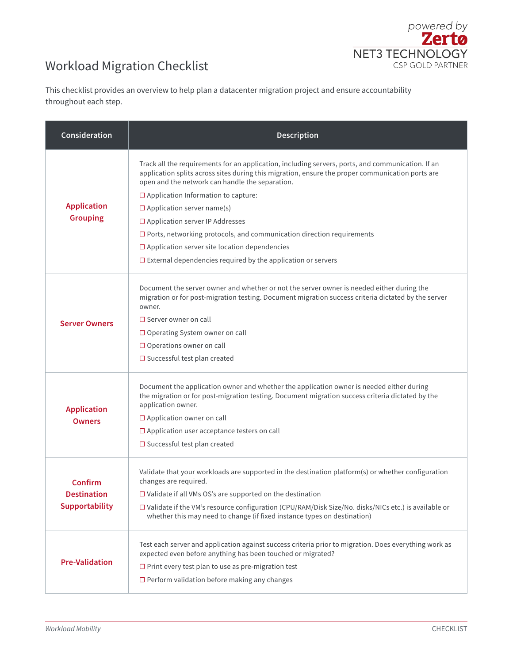## Workload Migration Checklist



This checklist provides an overview to help plan a datacenter migration project and ensure accountability throughout each step.

| Consideration                                   | <b>Description</b>                                                                                                                                                                                                                                                                                                                                                                                                                                                                                                                                                                                 |
|-------------------------------------------------|----------------------------------------------------------------------------------------------------------------------------------------------------------------------------------------------------------------------------------------------------------------------------------------------------------------------------------------------------------------------------------------------------------------------------------------------------------------------------------------------------------------------------------------------------------------------------------------------------|
| <b>Application</b><br><b>Grouping</b>           | Track all the requirements for an application, including servers, ports, and communication. If an<br>application splits across sites during this migration, ensure the proper communication ports are<br>open and the network can handle the separation.<br>$\Box$ Application Information to capture:<br>$\Box$ Application server name(s)<br>□ Application server IP Addresses<br>$\square$ Ports, networking protocols, and communication direction requirements<br>$\Box$ Application server site location dependencies<br>$\Box$ External dependencies required by the application or servers |
| <b>Server Owners</b>                            | Document the server owner and whether or not the server owner is needed either during the<br>migration or for post-migration testing. Document migration success criteria dictated by the server<br>owner.<br>$\Box$ Server owner on call<br>$\Box$ Operating System owner on call<br>$\Box$ Operations owner on call<br>$\Box$ Successful test plan created                                                                                                                                                                                                                                       |
| <b>Application</b><br><b>Owners</b>             | Document the application owner and whether the application owner is needed either during<br>the migration or for post-migration testing. Document migration success criteria dictated by the<br>application owner.<br>$\Box$ Application owner on call<br>$\Box$ Application user acceptance testers on call<br>$\square$ Successful test plan created                                                                                                                                                                                                                                             |
| Confirm<br>Destination<br><b>Supportability</b> | Validate that your workloads are supported in the destination platform(s) or whether configuration<br>changes are required.<br>$\square$ Validate if all VMs OS's are supported on the destination<br>□ Validate if the VM's resource configuration (CPU/RAM/Disk Size/No. disks/NICs etc.) is available or<br>whether this may need to change (if fixed instance types on destination)                                                                                                                                                                                                            |
| <b>Pre-Validation</b>                           | Test each server and application against success criteria prior to migration. Does everything work as<br>expected even before anything has been touched or migrated?<br>$\Box$ Print every test plan to use as pre-migration test<br>$\Box$ Perform validation before making any changes                                                                                                                                                                                                                                                                                                           |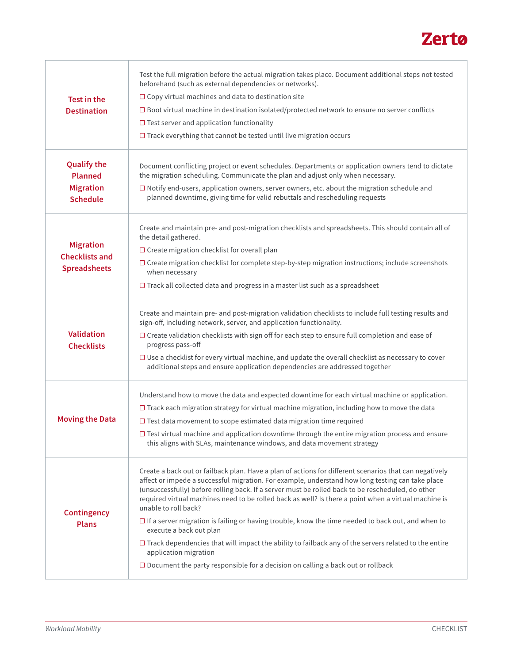

| Test in the<br><b>Destination</b>                                           | Test the full migration before the actual migration takes place. Document additional steps not tested<br>beforehand (such as external dependencies or networks).<br>$\Box$ Copy virtual machines and data to destination site<br>$\square$ Boot virtual machine in destination isolated/protected network to ensure no server conflicts<br>$\Box$ Test server and application functionality<br>$\Box$ Track everything that cannot be tested until live migration occurs                                                                                                                                                                                                                                                                                                                                                 |
|-----------------------------------------------------------------------------|--------------------------------------------------------------------------------------------------------------------------------------------------------------------------------------------------------------------------------------------------------------------------------------------------------------------------------------------------------------------------------------------------------------------------------------------------------------------------------------------------------------------------------------------------------------------------------------------------------------------------------------------------------------------------------------------------------------------------------------------------------------------------------------------------------------------------|
| <b>Qualify the</b><br><b>Planned</b><br><b>Migration</b><br><b>Schedule</b> | Document conflicting project or event schedules. Departments or application owners tend to dictate<br>the migration scheduling. Communicate the plan and adjust only when necessary.<br>$\square$ Notify end-users, application owners, server owners, etc. about the migration schedule and<br>planned downtime, giving time for valid rebuttals and rescheduling requests                                                                                                                                                                                                                                                                                                                                                                                                                                              |
| <b>Migration</b><br><b>Checklists and</b><br><b>Spreadsheets</b>            | Create and maintain pre- and post-migration checklists and spreadsheets. This should contain all of<br>the detail gathered.<br>$\Box$ Create migration checklist for overall plan<br>$\square$ Create migration checklist for complete step-by-step migration instructions; include screenshots<br>when necessary<br>$\Box$ Track all collected data and progress in a master list such as a spreadsheet                                                                                                                                                                                                                                                                                                                                                                                                                 |
| <b>Validation</b><br><b>Checklists</b>                                      | Create and maintain pre- and post-migration validation checklists to include full testing results and<br>sign-off, including network, server, and application functionality.<br>$\Box$ Create validation checklists with sign off for each step to ensure full completion and ease of<br>progress pass-off<br>$\square$ Use a checklist for every virtual machine, and update the overall checklist as necessary to cover<br>additional steps and ensure application dependencies are addressed together                                                                                                                                                                                                                                                                                                                 |
| <b>Moving the Data</b>                                                      | Understand how to move the data and expected downtime for each virtual machine or application.<br>$\Box$ Track each migration strategy for virtual machine migration, including how to move the data<br>$\square$ Test data movement to scope estimated data migration time required<br>$\square$ Test virtual machine and application downtime through the entire migration process and ensure<br>this aligns with SLAs, maintenance windows, and data movement strategy                                                                                                                                                                                                                                                                                                                                                |
| <b>Contingency</b><br><b>Plans</b>                                          | Create a back out or failback plan. Have a plan of actions for different scenarios that can negatively<br>affect or impede a successful migration. For example, understand how long testing can take place<br>(unsuccessfully) before rolling back. If a server must be rolled back to be rescheduled, do other<br>required virtual machines need to be rolled back as well? Is there a point when a virtual machine is<br>unable to roll back?<br>$\Box$ If a server migration is failing or having trouble, know the time needed to back out, and when to<br>execute a back out plan<br>$\Box$ Track dependencies that will impact the ability to failback any of the servers related to the entire<br>application migration<br>$\Box$ Document the party responsible for a decision on calling a back out or rollback |